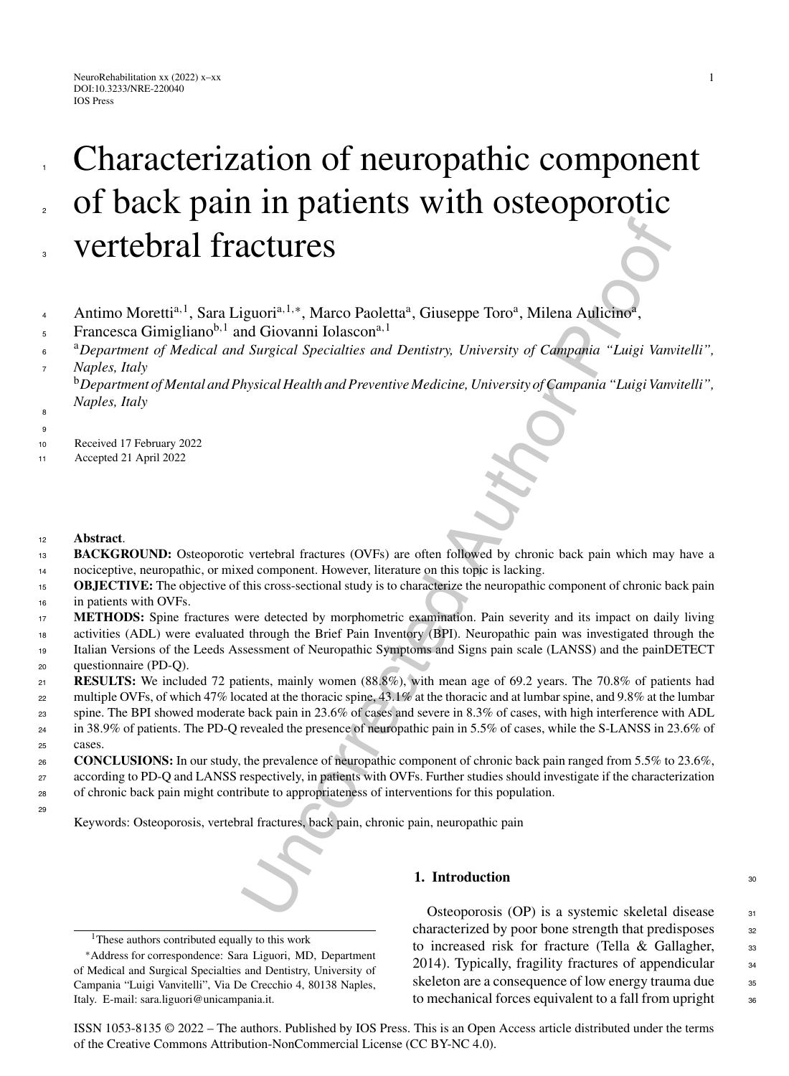# **ACTURES**<br> **Equori**<sup>n-1,+</sup>, Marco Paoletta<sup>n</sup>, Giuseppe Toro<sup>n</sup>, Milena Auliemo<sup>n</sup>,<br>
In Giovanni Iolascon<sup>4,1</sup><br>
If Surgical Specialities and Dentistry, University of Campania "Luigi Vam<br>
hysical Health and Preventive Medi Characterization of neuropathic component of back pain in patients with osteoporotic vertebral fractures

- Antimo Moretti<sup>a, 1</sup>, Sara Liguori<sup>a, 1,∗</sup>, Marco Paoletta<sup>a</sup>, Giuseppe Toro<sup>a</sup>, Milena Aulicino<sup>a</sup>, 4
- Francesca Gimigliano<sup>b, 1</sup> and Giovanni Iolascon<sup>a, 1</sup> 5
- <sup>a</sup>*Department of Medical and Surgical Specialties and Dentistry, University of Campania "Luigi Vanvitelli", Naples, Italy* 6 7

<sup>b</sup>*Department of Mental and Physical Health and Preventive Medicine, University of Campania "Luigi Vanvitelli",* <sup>8</sup> Naples, Italy

9

1

2

3

- <sup>10</sup> Received 17 February 2022
- <sup>11</sup> Accepted 21 April 2022
- <sup>12</sup> **Abstract**.
- **BACKGROUND:** Osteoporotic vertebral fractures (OVFs) are often followed by chronic back pain which may have a nociceptive, neuropathic, or mixed component. However, literature on this topic is lacking. 13 14
- **OBJECTIVE:** The objective of this cross-sectional study is to characterize the neuropathic component of chronic back pain in patients with OVFs. 15 16
- **METHODS:** Spine fractures were detected by morphometric examination. Pain severity and its impact on daily living 17
- activities (ADL) were evaluated through the Brief Pain Inventory (BPI). Neuropathic pain was investigated through the Italian Versions of the Leeds Assessment of Neuropathic Symptoms and Signs pain scale (LANSS) and the painDETECT 18
- questionnaire (PD-Q). 19 20
- **RESULTS:** We included 72 patients, mainly women (88.8%), with mean age of 69.2 years. The 70.8% of patients had  $21$
- multiple OVFs, of which 47% located at the thoracic spine, 43.1% at the thoracic and at lumbar spine, and 9.8% at the lumbar 22
- spine. The BPI showed moderate back pain in 23.6% of cases and severe in 8.3% of cases, with high interference with ADL in 38.9% of patients. The PD-Q revealed the presence of neuropathic pain in 5.5% of cases, while the S-LANSS in 23.6% of 23  $24$
- cases. 25
- **CONCLUSIONS:** In our study, the prevalence of neuropathic component of chronic back pain ranged from 5.5% to 23.6%, according to PD-Q and LANSS respectively, in patients with OVFs. Further studies should investigate if the characterization 26 27
- of chronic back pain might contribute to appropriateness of interventions for this population. 28 <sub>29</sub>

Keywords: Osteoporosis, vertebral fractures, back pain, chronic pain, neuropathic pain

# **1. Introduction** 30

Osteoporosis (OP) is a systemic skeletal disease  $31$ characterized by poor bone strength that predisposes 32 to increased risk for fracture (Tella & Gallagher,  $\frac{33}{2}$ 2014). Typically, fragility fractures of appendicular  $\frac{34}{4}$ skeleton are a consequence of low energy trauma due <sup>35</sup> to mechanical forces equivalent to a fall from upright 36

ISSN 1053-8135 © 2022 – The authors. Published by IOS Press. This is an Open Access article distributed under the terms of the [Creative Commons Attribution-NonCommercial License \(CC BY-NC 4.0\).](https://creativecommons.org/licenses/by/4.0/)

<sup>&</sup>lt;sup>1</sup>These authors contributed equally to this work

<sup>∗</sup>Address for correspondence: Sara Liguori, MD, Department of Medical and Surgical Specialties and Dentistry, University of Campania "Luigi Vanvitelli", Via De Crecchio 4, 80138 Naples, Italy. E-mail: [sara.liguori@unicampania.it.](mailto:sara.liguori@unicampania.it)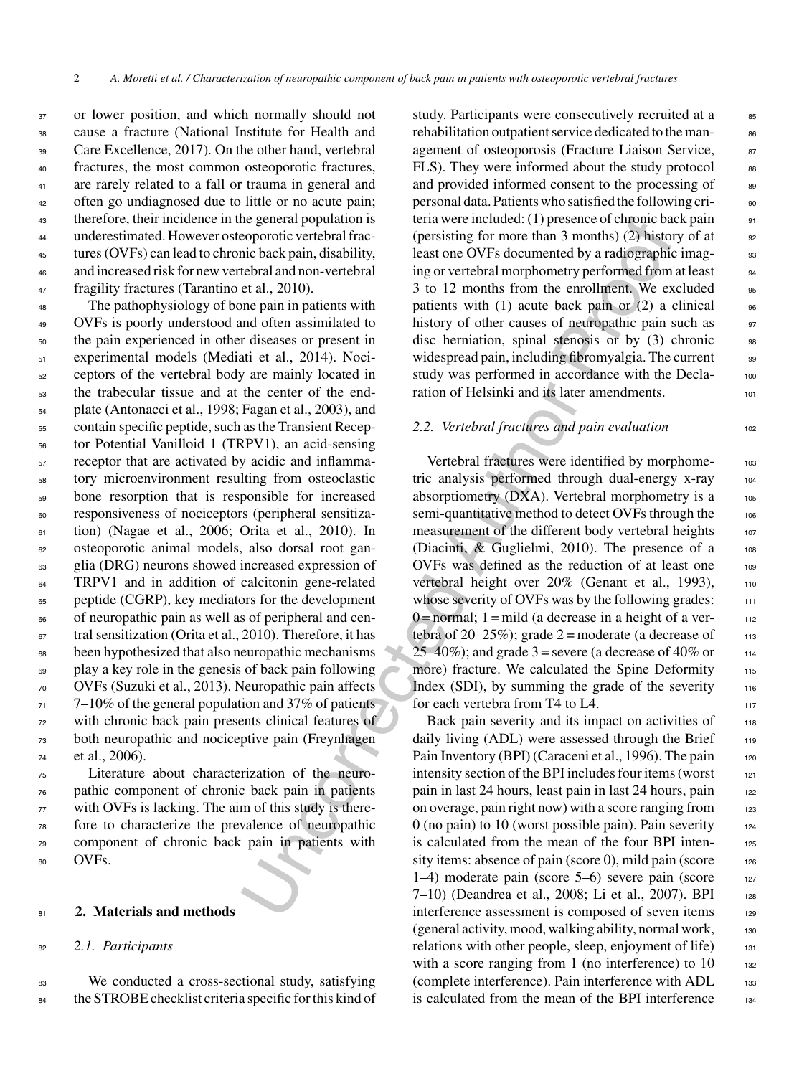or lower position, and which normally should not cause a fracture (National Institute for Health and Care Excellence, 2017). On the other hand, vertebral fractures, the most common osteoporotic fractures, are rarely related to a fall or trauma in general and often go undiagnosed due to little or no acute pain; therefore, their incidence in the general population is underestimated. However osteoporotic vertebral frac- tures (OVFs) can lead to chronic back pain, disability, and increased risk for new vertebral and non-vertebral fragility fractures (Tarantino et al., 2010).

 The pathophysiology of bone pain in patients with OVFs is poorly understood and often assimilated to the pain experienced in other diseases or present in experimental models (Mediati et al., 2014). Noci- ceptors of the vertebral body are mainly located in the trabecular tissue and at the center of the end- plate (Antonacci et al., 1998; Fagan et al., 2003), and contain specific peptide, such as the Transient Recep- tor Potential Vanilloid 1 (TRPV1), an acid-sensing receptor that are activated by acidic and inflamma- tory microenvironment resulting from osteoclastic bone resorption that is responsible for increased responsiveness of nociceptors (peripheral sensitiza- tion) (Nagae et al., 2006; Orita et al., 2010). In osteoporotic animal models, also dorsal root gan- glia (DRG) neurons showed increased expression of <sup>64</sup> TRPV1 and in addition of calcitonin gene-related peptide (CGRP), key mediators for the development of neuropathic pain as well as of peripheral and cen-67 tral sensitization (Orita et al., 2010). Therefore, it has been hypothesized that also neuropathic mechanisms play a key role in the genesis of back pain following OVFs (Suzuki et al., 2013). Neuropathic pain affects  $71 - 7 - 10\%$  of the general population and 37% of patients with chronic back pain presents clinical features of both neuropathic and nociceptive pain (Freynhagen et al., 2006).

 Literature about characterization of the neuro- pathic component of chronic back pain in patients with OVFs is lacking. The aim of this study is there- fore to characterize the prevalence of neuropathic component of chronic back pain in patients with 80 OVFs.

### <sup>81</sup> **2. Materials and methods**

### <sup>82</sup> *2.1. Participants*

<sup>83</sup> We conducted a cross-sectional study, satisfying 84 the STROBE checklist criteria specific for this kind of study. Participants were consecutively recruited at a 85 rehabilitation outpatient service dedicated to the management of osteoporosis (Fracture Liaison Service, 87 FLS). They were informed about the study protocol 88 and provided informed consent to the processing of 89 personal data. Patients who satisfied the following criteria were included: (1) presence of chronic back pain 91 (persisting for more than 3 months) (2) history of at  $\qquad$  92 least one OVFs documented by a radiographic imaging or vertebral morphometry performed from at least 94 3 to 12 months from the enrollment. We excluded 95 patients with (1) acute back pain or (2) a clinical  $\frac{1}{96}$ history of other causes of neuropathic pain such as 97 disc herniation, spinal stenosis or by  $(3)$  chronic 98 widespread pain, including fibromyalgia. The current 99 study was performed in accordance with the Decla- 100 ration of Helsinki and its later amendments.

## 2.2. *Vertebral fractures and pain evaluation* 102

is energy in the sense included to the permetion technology is the and were included (1) presence of chemotic contents and all the technology interior basis and Contents and Authorities by a radio-stellar technology and t Vertebral fractures were identified by morphometric analysis performed through dual-energy x-ray <sup>104</sup> absorptiometry  $(DXA)$ . Vertebral morphometry is a 105 semi-quantitative method to detect OVFs through the 106 measurement of the different body vertebral heights 107 (Diacinti,  $&$  Guglielmi, 2010). The presence of a  $108$ OVFs was defined as the reduction of at least one 109 vertebral height over 20% (Genant et al., 1993), 110 whose severity of OVFs was by the following grades: 111  $0 =$  normal; 1 = mild (a decrease in a height of a vertebra of 20–25%); grade  $2 =$  moderate (a decrease of  $113$ 25–40%); and grade 3 = severe (a decrease of 40% or  $114$ more) fracture. We calculated the Spine Deformity 115 Index (SDI), by summing the grade of the severity  $116$ for each vertebra from T4 to L4. 117

Back pain severity and its impact on activities of 118 daily living (ADL) were assessed through the Brief 119 Pain Inventory (BPI) (Caraceni et al., 1996). The pain 120 intensity section of the BPI includes four items (worst  $121$ pain in last 24 hours, least pain in last 24 hours, pain 122 on overage, pain right now) with a score ranging from  $123$  $0$  (no pain) to 10 (worst possible pain). Pain severity  $124$ is calculated from the mean of the four BPI inten- <sup>125</sup> sity items: absence of pain (score 0), mild pain (score  $126$ 1–4) moderate pain (score  $5-6$ ) severe pain (score 127 7–10) (Deandrea et al., 2008; Li et al., 2007). BPI 128 interference assessment is composed of seven items 129 (general activity, mood, walking ability, normal work, <sup>130</sup> relations with other people, sleep, enjoyment of life) 131 with a score ranging from 1 (no interference) to  $10$  132 (complete interference). Pain interference with ADL 133 is calculated from the mean of the BPI interference 134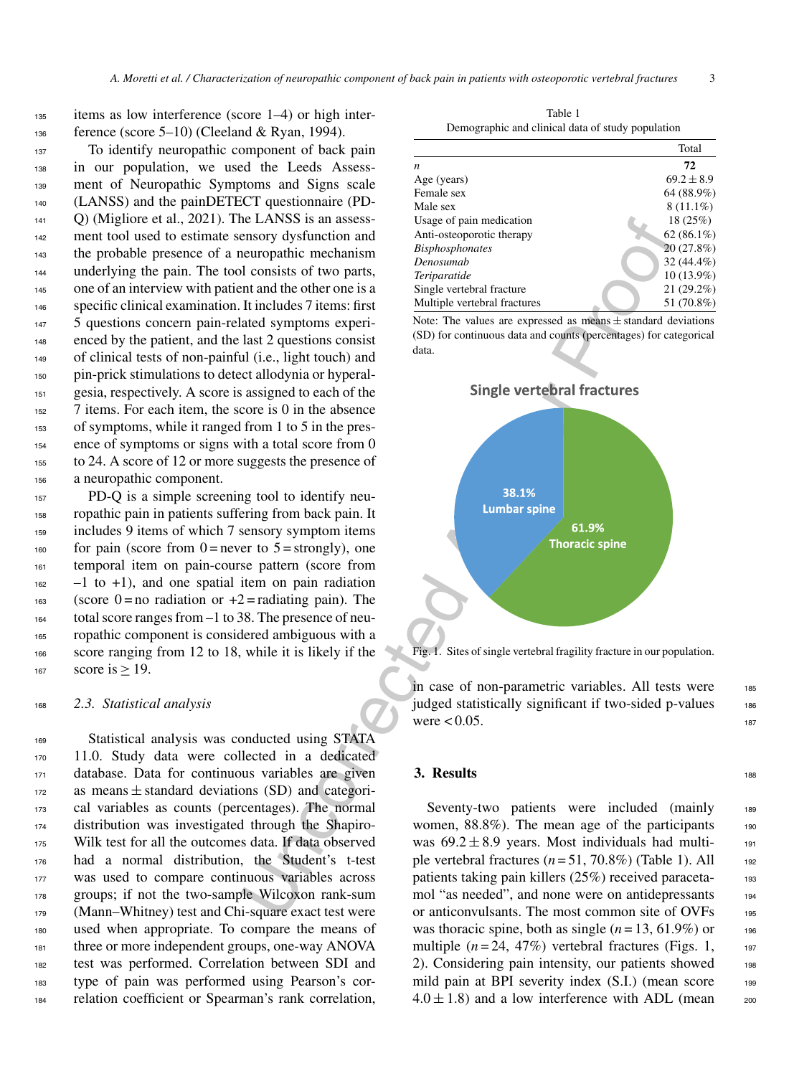# <sup>135</sup> items as low interference (score 1–4) or high inter-<sup>136</sup> ference (score 5–10) (Cleeland & Ryan, 1994).

 To identify neuropathic component of back pain in our population, we used the Leeds Assess- ment of Neuropathic Symptoms and Signs scale (LANSS) and the painDETECT questionnaire (PD- Q) (Migliore et al., 2021). The LANSS is an assess-142 ment tool used to estimate sensory dysfunction and the probable presence of a neuropathic mechanism underlying the pain. The tool consists of two parts, one of an interview with patient and the other one is a 146 specific clinical examination. It includes 7 items: first 5 questions concern pain-related symptoms experi- enced by the patient, and the last 2 questions consist of clinical tests of non-painful (i.e., light touch) and pin-prick stimulations to detect allodynia or hyperal- gesia, respectively. A score is assigned to each of the 7 items. For each item, the score is 0 in the absence of symptoms, while it ranged from 1 to 5 in the pres- ence of symptoms or signs with a total score from 0 to 24. A score of 12 or more suggests the presence of a neuropathic component.

 PD-Q is a simple screening tool to identify neu- ropathic pain in patients suffering from back pain. It includes 9 items of which 7 sensory symptom items 160 for pain (score from  $0 =$  never to  $5 =$  strongly), one temporal item on pain-course pattern (score from  $162 - 1$  to  $+1$ ), and one spatial item on pain radiation 163 (score 0 = no radiation or  $+2$  = radiating pain). The total score ranges from –1 to 38. The presence of neu- ropathic component is considered ambiguous with a score ranging from 12 to 18, while it is likely if the score is  $> 19$ .

### <sup>168</sup> *2.3. Statistical analysis*

 Statistical analysis was conducted using STATA 11.0. Study data were collected in a dedicated database. Data for continuous variables are given as means  $\pm$  standard deviations (SD) and categori-<br> $173$  cal variables as counts (percentages). The normal cal variables as counts (percentages). The normal distribution was investigated through the Shapiro- Wilk test for all the outcomes data. If data observed had a normal distribution, the Student's t-test was used to compare continuous variables across groups; if not the two-sample Wilcoxon rank-sum (Mann–Whitney) test and Chi-square exact test were used when appropriate. To compare the means of three or more independent groups, one-way ANOVA test was performed. Correlation between SDI and type of pain was performed using Pearson's cor-relation coefficient or Spearman's rank correlation,

Table 1 Demographic and clinical data of study population

|                              | Total          |
|------------------------------|----------------|
| $\boldsymbol{n}$             | 72             |
| Age (years)                  | $69.2 \pm 8.9$ |
| Female sex                   | 64 (88.9%)     |
| Male sex                     | $8(11.1\%)$    |
| Usage of pain medication     | 18(25%)        |
| Anti-osteoporotic therapy    | 62 $(86.1\%)$  |
| <b>Bisphosphonates</b>       | 20(27.8%)      |
| Denosumab                    | 32 (44.4%)     |
| Teriparatide                 | 10 (13.9%)     |
| Single vertebral fracture    | $21(29.2\%)$   |
| Multiple vertebral fractures | 51 (70.8%)     |

Note: The values are expressed as means ± standard deviations (SD) for continuous data and counts (percentages) for categorical data.



Fig. 1. Sites of single vertebral fragility fracture in our population.

in case of non-parametric variables. All tests were 185 judged statistically significant if two-sided p-values 186 were  $< 0.05$ .

### **3. Results** 188

Seventy-two patients were included (mainly 189 women,  $88.8\%$ ). The mean age of the participants 190 was  $69.2 \pm 8.9$  years. Most individuals had multiple vertebral fractures  $(n=51, 70.8\%)$  (Table 1). All  $_{192}$ patients taking pain killers (25%) received paraceta-<br>193 mol "as needed", and none were on antidepressants 194 or anticonvulsants. The most common site of OVFs 195 was thoracic spine, both as single  $(n = 13, 61.9\%)$  or 196 multiple  $(n=24, 47\%)$  vertebral fractures (Figs. 1, 197 2). Considering pain intensity, our patients showed 198 mild pain at BPI severity index (S.I.) (mean score 199  $4.0 \pm 1.8$ ) and a low interference with ADL (mean 200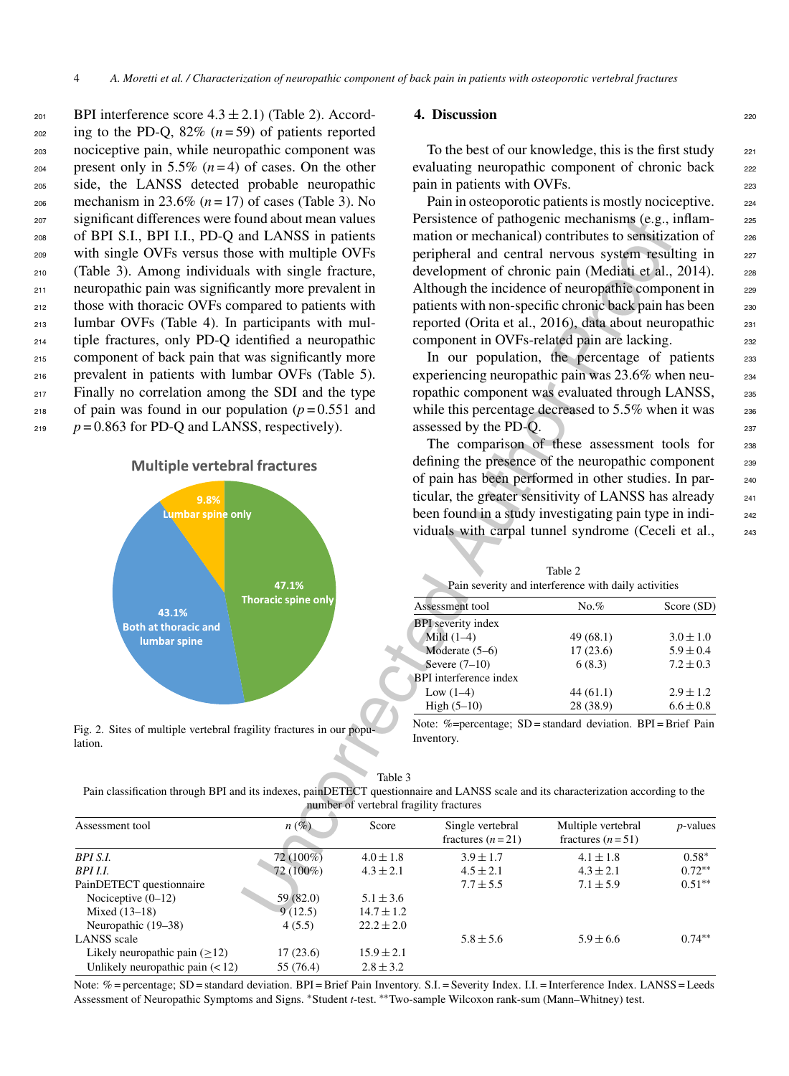| 201 | BPI interference score $4.3 \pm 2.1$ ) (Table 2). Accord- |
|-----|-----------------------------------------------------------|
| 202 | ing to the PD-Q, 82% $(n=59)$ of patients reported        |
| 203 | nociceptive pain, while neuropathic component was         |
| 204 | present only in 5.5% $(n=4)$ of cases. On the other       |
| 205 | side, the LANSS detected probable neuropathic             |
| 206 | mechanism in 23.6% ( $n = 17$ ) of cases (Table 3). No    |
| 207 | significant differences were found about mean values      |
| 208 | of BPI S.I., BPI I.I., PD-Q and LANSS in patients         |
| 209 | with single OVFs versus those with multiple OVFs          |
| 210 | (Table 3). Among individuals with single fracture,        |
| 211 | neuropathic pain was significantly more prevalent in      |
| 212 | those with thoracic OVFs compared to patients with        |
| 213 | lumbar OVFs (Table 4). In participants with mul-          |
| 214 | tiple fractures, only PD-Q identified a neuropathic       |
| 215 | component of back pain that was significantly more        |
| 216 | prevalent in patients with lumbar OVFs (Table 5).         |
| 217 | Finally no correlation among the SDI and the type         |
| 218 | of pain was found in our population ( $p = 0.551$ and     |
| 219 | $p = 0.863$ for PD-Q and LANSS, respectively).            |
|     |                                                           |



Fig. 2. Sites of multiple vertebral fragility fractures in our population.

# **4. Discussion** 220

To the best of our knowledge, this is the first study  $221$ evaluating neuropathic component of chronic back 222 pain in patients with OVFs.

Pain in osteoporotic patients is mostly nociceptive. 224 Persistence of pathogenic mechanisms (e.g., inflammation or mechanical) contributes to sensitization of 226 peripheral and central nervous system resulting in 227 development of chronic pain (Mediati et al., 2014). 228 Although the incidence of neuropathic component in 229 patients with non-specific chronic back pain has been 230 reported (Orita et al., 2016), data about neuropathic <sup>231</sup> component in OVFs-related pain are lacking.

In our population, the percentage of patients 233 experiencing neuropathic pain was 23.6% when neu-<br><sub>234</sub> ropathic component was evaluated through LANSS, 235 while this percentage decreased to  $5.5\%$  when it was  $236$ assessed by the PD-O. 237

The comparison of these assessment tools for 238 defining the presence of the neuropathic component 239 of pain has been performed in other studies. In par- <sup>240</sup> ticular, the greater sensitivity of LANSS has already <sub>241</sub> been found in a study investigating pain type in individuals with carpal tunnel syndrome (Ceceli et al., 243

| Assessment tool               | No.%      | Score (SD)    |
|-------------------------------|-----------|---------------|
| <b>BPI</b> severity index     |           |               |
| Mild $(1-4)$                  | 49(68.1)  | $3.0 \pm 1.0$ |
| Moderate $(5-6)$              | 17(23.6)  | $5.9 \pm 0.4$ |
| Severe $(7-10)$               | 6(8.3)    | $7.2 \pm 0.3$ |
| <b>BPI</b> interference index |           |               |
| Low $(1-4)$                   | 44(61.1)  | $2.9 \pm 1.2$ |
| High $(5-10)$                 | 28 (38.9) | $6.6 \pm 0.8$ |

Table 3 Pain classification through BPI and its indexes, painDETECT questionnaire and LANSS scale and its characterization according to the number of vertebral fragility fractures

| significant differences were found about mean values<br>of BPI S.I., BPI I.I., PD-Q and LANSS in patients<br>with single OVFs versus those with multiple OVFs<br>(Table 3). Among individuals with single fracture,<br>neuropathic pain was significantly more prevalent in<br>those with thoracic OVFs compared to patients with<br>lumbar OVFs (Table 4). In participants with mul-<br>tiple fractures, only PD-Q identified a neuropathic<br>component of back pain that was significantly more<br>prevalent in patients with lumbar OVFs (Table 5).<br>Finally no correlation among the SDI and the type<br>of pain was found in our population ( $p = 0.551$ and<br>$p = 0.863$ for PD-Q and LANSS, respectively). |                            |                                 | Persistence of pathogenic mechanisms (e.g., inflam-<br>mation or mechanical) contributes to sensitization of<br>peripheral and central nervous system resulting in<br>development of chronic pain (Mediati et al., 2014).<br>Although the incidence of neuropathic component in<br>patients with non-specific chronic back pain has been<br>reported (Orita et al., 2016), data about neuropathic<br>component in OVFs-related pain are lacking.<br>In our population, the percentage of patients<br>experiencing neuropathic pain was 23.6% when neu-<br>ropathic component was evaluated through LANSS,<br>while this percentage decreased to 5.5% when it was<br>assessed by the PD-Q. |                                                      |               |  |
|-------------------------------------------------------------------------------------------------------------------------------------------------------------------------------------------------------------------------------------------------------------------------------------------------------------------------------------------------------------------------------------------------------------------------------------------------------------------------------------------------------------------------------------------------------------------------------------------------------------------------------------------------------------------------------------------------------------------------|----------------------------|---------------------------------|-------------------------------------------------------------------------------------------------------------------------------------------------------------------------------------------------------------------------------------------------------------------------------------------------------------------------------------------------------------------------------------------------------------------------------------------------------------------------------------------------------------------------------------------------------------------------------------------------------------------------------------------------------------------------------------------|------------------------------------------------------|---------------|--|
|                                                                                                                                                                                                                                                                                                                                                                                                                                                                                                                                                                                                                                                                                                                         |                            |                                 |                                                                                                                                                                                                                                                                                                                                                                                                                                                                                                                                                                                                                                                                                           | The comparison of these assessment tools for         |               |  |
| <b>Multiple vertebral fractures</b>                                                                                                                                                                                                                                                                                                                                                                                                                                                                                                                                                                                                                                                                                     |                            |                                 | defining the presence of the neuropathic component                                                                                                                                                                                                                                                                                                                                                                                                                                                                                                                                                                                                                                        |                                                      |               |  |
|                                                                                                                                                                                                                                                                                                                                                                                                                                                                                                                                                                                                                                                                                                                         |                            |                                 | of pain has been performed in other studies. In par-                                                                                                                                                                                                                                                                                                                                                                                                                                                                                                                                                                                                                                      |                                                      |               |  |
| 9.8%                                                                                                                                                                                                                                                                                                                                                                                                                                                                                                                                                                                                                                                                                                                    |                            |                                 | ticular, the greater sensitivity of LANSS has already                                                                                                                                                                                                                                                                                                                                                                                                                                                                                                                                                                                                                                     |                                                      |               |  |
| Lumbar spine only                                                                                                                                                                                                                                                                                                                                                                                                                                                                                                                                                                                                                                                                                                       |                            |                                 | been found in a study investigating pain type in indi-                                                                                                                                                                                                                                                                                                                                                                                                                                                                                                                                                                                                                                    |                                                      |               |  |
|                                                                                                                                                                                                                                                                                                                                                                                                                                                                                                                                                                                                                                                                                                                         |                            |                                 | viduals with carpal tunnel syndrome (Ceceli et al.,                                                                                                                                                                                                                                                                                                                                                                                                                                                                                                                                                                                                                                       |                                                      |               |  |
|                                                                                                                                                                                                                                                                                                                                                                                                                                                                                                                                                                                                                                                                                                                         |                            |                                 |                                                                                                                                                                                                                                                                                                                                                                                                                                                                                                                                                                                                                                                                                           |                                                      |               |  |
|                                                                                                                                                                                                                                                                                                                                                                                                                                                                                                                                                                                                                                                                                                                         |                            |                                 |                                                                                                                                                                                                                                                                                                                                                                                                                                                                                                                                                                                                                                                                                           | Table 2                                              |               |  |
|                                                                                                                                                                                                                                                                                                                                                                                                                                                                                                                                                                                                                                                                                                                         | 47.1%                      |                                 |                                                                                                                                                                                                                                                                                                                                                                                                                                                                                                                                                                                                                                                                                           | Pain severity and interference with daily activities |               |  |
|                                                                                                                                                                                                                                                                                                                                                                                                                                                                                                                                                                                                                                                                                                                         | <b>Thoracic spine only</b> |                                 | Assessment tool                                                                                                                                                                                                                                                                                                                                                                                                                                                                                                                                                                                                                                                                           | No. %                                                | Score (SD)    |  |
| 43.1%<br><b>Both at thoracic and</b>                                                                                                                                                                                                                                                                                                                                                                                                                                                                                                                                                                                                                                                                                    |                            |                                 | <b>BPI</b> severity index                                                                                                                                                                                                                                                                                                                                                                                                                                                                                                                                                                                                                                                                 |                                                      |               |  |
| lumbar spine                                                                                                                                                                                                                                                                                                                                                                                                                                                                                                                                                                                                                                                                                                            |                            |                                 | Mild $(1-4)$                                                                                                                                                                                                                                                                                                                                                                                                                                                                                                                                                                                                                                                                              | 49 (68.1)                                            | $3.0 \pm 1.0$ |  |
|                                                                                                                                                                                                                                                                                                                                                                                                                                                                                                                                                                                                                                                                                                                         |                            |                                 | Moderate (5-6)                                                                                                                                                                                                                                                                                                                                                                                                                                                                                                                                                                                                                                                                            | 17(23.6)                                             | $5.9 \pm 0.4$ |  |
|                                                                                                                                                                                                                                                                                                                                                                                                                                                                                                                                                                                                                                                                                                                         |                            |                                 | Severe $(7-10)$                                                                                                                                                                                                                                                                                                                                                                                                                                                                                                                                                                                                                                                                           | 6(8.3)                                               | $7.2 \pm 0.3$ |  |
|                                                                                                                                                                                                                                                                                                                                                                                                                                                                                                                                                                                                                                                                                                                         |                            |                                 | BPI interference index                                                                                                                                                                                                                                                                                                                                                                                                                                                                                                                                                                                                                                                                    |                                                      |               |  |
|                                                                                                                                                                                                                                                                                                                                                                                                                                                                                                                                                                                                                                                                                                                         |                            |                                 | Low $(1-4)$                                                                                                                                                                                                                                                                                                                                                                                                                                                                                                                                                                                                                                                                               | 44(61.1)                                             | $2.9 \pm 1.2$ |  |
|                                                                                                                                                                                                                                                                                                                                                                                                                                                                                                                                                                                                                                                                                                                         |                            |                                 | High $(5-10)$                                                                                                                                                                                                                                                                                                                                                                                                                                                                                                                                                                                                                                                                             | 28 (38.9)                                            | $6.6 \pm 0.8$ |  |
| Fig. 2. Sites of multiple vertebral fragility fractures in our popu-<br>lation.                                                                                                                                                                                                                                                                                                                                                                                                                                                                                                                                                                                                                                         |                            |                                 | Note: %=percentage; $SD =$ standard deviation. $BPI =$ Brief Pain<br>Inventory.                                                                                                                                                                                                                                                                                                                                                                                                                                                                                                                                                                                                           |                                                      |               |  |
| Pain classification through BPI and its indexes, painDETECT questionnaire and LANSS scale and its characterization according to the                                                                                                                                                                                                                                                                                                                                                                                                                                                                                                                                                                                     |                            | Table 3                         | number of vertebral fragility fractures                                                                                                                                                                                                                                                                                                                                                                                                                                                                                                                                                                                                                                                   |                                                      |               |  |
| Assessment tool                                                                                                                                                                                                                                                                                                                                                                                                                                                                                                                                                                                                                                                                                                         | $n\left(\%\right)$         | Score                           | Single vertebral<br>fractures $(n=21)$                                                                                                                                                                                                                                                                                                                                                                                                                                                                                                                                                                                                                                                    | Multiple vertebral<br>fractures $(n=51)$             | $p$ -values   |  |
| BPI S.I.                                                                                                                                                                                                                                                                                                                                                                                                                                                                                                                                                                                                                                                                                                                | 72 (100%)                  | $4.0 \pm 1.8$                   | $3.9 \pm 1.7$                                                                                                                                                                                                                                                                                                                                                                                                                                                                                                                                                                                                                                                                             | $4.1 \pm 1.8$                                        | $0.58*$       |  |
| BPI I.I.                                                                                                                                                                                                                                                                                                                                                                                                                                                                                                                                                                                                                                                                                                                | 72 (100%)                  | $4.3 \pm 2.1$                   | $4.5 \pm 2.1$                                                                                                                                                                                                                                                                                                                                                                                                                                                                                                                                                                                                                                                                             | $4.3 \pm 2.1$                                        | $0.72***$     |  |
| PainDETECT questionnaire                                                                                                                                                                                                                                                                                                                                                                                                                                                                                                                                                                                                                                                                                                |                            |                                 | $7.7 \pm 5.5$                                                                                                                                                                                                                                                                                                                                                                                                                                                                                                                                                                                                                                                                             | $7.1 \pm 5.9$                                        | $0.51**$      |  |
| Nociceptive $(0-12)$                                                                                                                                                                                                                                                                                                                                                                                                                                                                                                                                                                                                                                                                                                    | 59 (82.0)                  | $5.1 \pm 3.6$                   |                                                                                                                                                                                                                                                                                                                                                                                                                                                                                                                                                                                                                                                                                           |                                                      |               |  |
| Mixed (13-18)                                                                                                                                                                                                                                                                                                                                                                                                                                                                                                                                                                                                                                                                                                           | 9(12.5)                    | $14.7 \pm 1.2$                  |                                                                                                                                                                                                                                                                                                                                                                                                                                                                                                                                                                                                                                                                                           |                                                      |               |  |
| Neuropathic (19-38)                                                                                                                                                                                                                                                                                                                                                                                                                                                                                                                                                                                                                                                                                                     | 4(5.5)                     | $22.2 \pm 2.0$                  |                                                                                                                                                                                                                                                                                                                                                                                                                                                                                                                                                                                                                                                                                           |                                                      |               |  |
| LANSS scale<br>Likely neuropathic pain $(\geq 12)$                                                                                                                                                                                                                                                                                                                                                                                                                                                                                                                                                                                                                                                                      |                            |                                 | $5.8 \pm 5.6$                                                                                                                                                                                                                                                                                                                                                                                                                                                                                                                                                                                                                                                                             | $5.9 \pm 6.6$                                        | $0.74**$      |  |
| Unlikely neuropathic pain $(< 12)$                                                                                                                                                                                                                                                                                                                                                                                                                                                                                                                                                                                                                                                                                      | 17(23.6)<br>55 (76.4)      | $15.9 \pm 2.1$<br>$2.8 \pm 3.2$ |                                                                                                                                                                                                                                                                                                                                                                                                                                                                                                                                                                                                                                                                                           |                                                      |               |  |
|                                                                                                                                                                                                                                                                                                                                                                                                                                                                                                                                                                                                                                                                                                                         |                            |                                 |                                                                                                                                                                                                                                                                                                                                                                                                                                                                                                                                                                                                                                                                                           |                                                      |               |  |

Note: % = percentage; SD = standard deviation. BPI = Brief Pain Inventory. S.I. = Severity Index. I.I. = Interference Index. LANSS = Leeds Assessment of Neuropathic Symptoms and Signs. ∗Student *t*-test. ∗∗Two-sample Wilcoxon rank-sum (Mann–Whitney) test.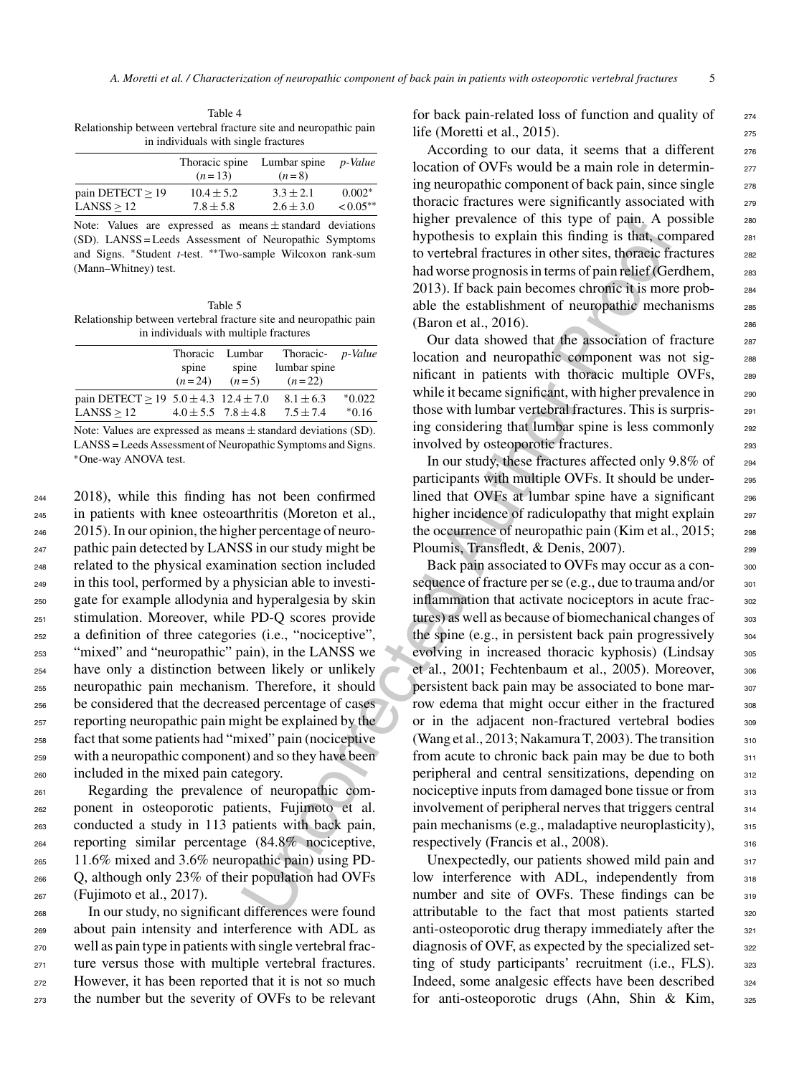Table 4 Relationship between vertebral fracture site and neuropathic pain in individuals with single fractures

|                       | Thoracic spine<br>$(n=13)$ | Lumbar spine<br>$(n=8)$ | <i>p</i> -Value |
|-----------------------|----------------------------|-------------------------|-----------------|
| pain DETECT $\geq$ 19 | $10.4 \pm 5.2$             | $3.3 \pm 2.1$           | $0.002*$        |
| LANSS > 12            | $7.8 \pm 5.8$              | $2.6 \pm 3.0$           | $< 0.05**$      |

Note: Values are expressed as means  $\pm$  standard deviations (SD). LANSS = Leeds Assessment of Neuropathic Symptoms and Signs. ∗Student *t*-test. ∗∗Two-sample Wilcoxon rank-sum (Mann–Whitney) test.

Table 5 Relationship between vertebral fracture site and neuropathic pain in individuals with multiple fractures

|                                               | spine<br>$(n=24)$ | Thoracic Lumbar<br>spine<br>$(n=5)$ | Thoracic- <i>p-Value</i><br>lumbar spine<br>$(n=22)$ |          |
|-----------------------------------------------|-------------------|-------------------------------------|------------------------------------------------------|----------|
| pain DETECT > 19 $5.0 \pm 4.3$ 12.4 $\pm$ 7.0 |                   |                                     | $8.1 \pm 6.3$                                        | $*0.022$ |
| LANSS > 12                                    |                   | $4.0 \pm 5.5$ $7.8 \pm 4.8$         | $7.5 + 7.4$                                          | $*0.16$  |

Note: Values are expressed as means  $\pm$  standard deviations (SD). LANSS = Leeds Assessment of Neuropathic Symptoms and Signs. ∗One-way ANOVA test.

 2018), while this finding has not been confirmed in patients with knee osteoarthritis (Moreton et al., 2015). In our opinion, the higher percentage of neuro- pathic pain detected by LANSS in our study might be related to the physical examination section included in this tool, performed by a physician able to investi- gate for example allodynia and hyperalgesia by skin stimulation. Moreover, while PD-Q scores provide a definition of three categories (i.e., "nociceptive", "mixed" and "neuropathic" pain), in the LANSS we have only a distinction between likely or unlikely neuropathic pain mechanism. Therefore, it should be considered that the decreased percentage of cases reporting neuropathic pain might be explained by the fact that some patients had "mixed" pain (nociceptive with a neuropathic component) and so they have been included in the mixed pain category.

 Regarding the prevalence of neuropathic com- ponent in osteoporotic patients, Fujimoto et al. conducted a study in 113 patients with back pain, reporting similar percentage (84.8% nociceptive, 11.6% mixed and 3.6% neuropathic pain) using PD- Q, although only 23% of their population had OVFs  $_{267}$  (Fujimoto et al., 2017).

 In our study, no significant differences were found about pain intensity and interference with ADL as well as pain type in patients with single vertebral frac- ture versus those with multiple vertebral fractures. However, it has been reported that it is not so much the number but the severity of OVFs to be relevant

for back pain-related loss of function and quality of  $274$ life (Moretti et al., 2015).  $275$ 

According to our data, it seems that a different  $276$ location of OVFs would be a main role in determining neuropathic component of back pain, since single  $_{278}$ thoracic fractures were significantly associated with <sub>279</sub> higher prevalence of this type of pain. A possible 280 hypothesis to explain this finding is that, compared <sub>281</sub> to vertebral fractures in other sites, thoracic fractures 282 had worse prognosis in terms of pain relief (Gerdhem, 283 2013). If back pain becomes chronic it is more prob- <sup>284</sup> able the establishment of neuropathic mechanisms 285 (Baron et al., 2016).

Our data showed that the association of fracture 287 location and neuropathic component was not sig-<br>288 nificant in patients with thoracic multiple OVFs, 289 while it became significant, with higher prevalence in <sub>290</sub> those with lumbar vertebral fractures. This is surpris- <sup>291</sup> ing considering that lumbar spine is less commonly 292 involved by osteoporotic fractures.

In our study, these fractures affected only 9.8% of <sup>294</sup> participants with multiple OVFs. It should be under-<br>295 lined that OVFs at lumbar spine have a significant 296 higher incidence of radiculopathy that might explain <sub>297</sub> the occurrence of neuropathic pain (Kim et al., 2015; 298 Ploumis, Transfledt, & Denis, 2007).

means + smalard deviations<br>
(of Neuropalais Supplements in providence of this typical is that, corresponsing the providence of this type of paints, thereal fractions and to vertebeli fractions in other sites, thereal for Back pain associated to OVFs may occur as a consequence of fracture per se  $(e.g., due to trauma and/or  $301$$ inflammation that activate nociceptors in acute frac-<br>302 tures) as well as because of biomechanical changes of  $\qquad$  303 the spine (e.g., in persistent back pain progressively  $304$ evolving in increased thoracic kyphosis) (Lindsay  $305$ et al., 2001; Fechtenbaum et al., 2005). Moreover, 306 persistent back pain may be associated to bone mar-<br>307 row edema that might occur either in the fractured 308 or in the adjacent non-fractured vertebral bodies 309 (Wang et al., 2013; Nakamura T, 2003). The transition  $310$ from acute to chronic back pain may be due to both  $_{311}$ peripheral and central sensitizations, depending on 312 nociceptive inputs from damaged bone tissue or from 313 involvement of peripheral nerves that triggers central  $314$ pain mechanisms (e.g., maladaptive neuroplasticity), <sup>315</sup> respectively (Francis et al., 2008). 316

Unexpectedly, our patients showed mild pain and  $317$ low interference with ADL, independently from 318 number and site of OVFs. These findings can be 319 attributable to the fact that most patients started 320 anti-osteoporotic drug therapy immediately after the 321 diagnosis of OVF, as expected by the specialized set-<br>322 ting of study participants' recruitment (i.e., FLS). 323 Indeed, some analgesic effects have been described 324 for anti-osteoporotic drugs (Ahn, Shin & Kim, <sup>325</sup>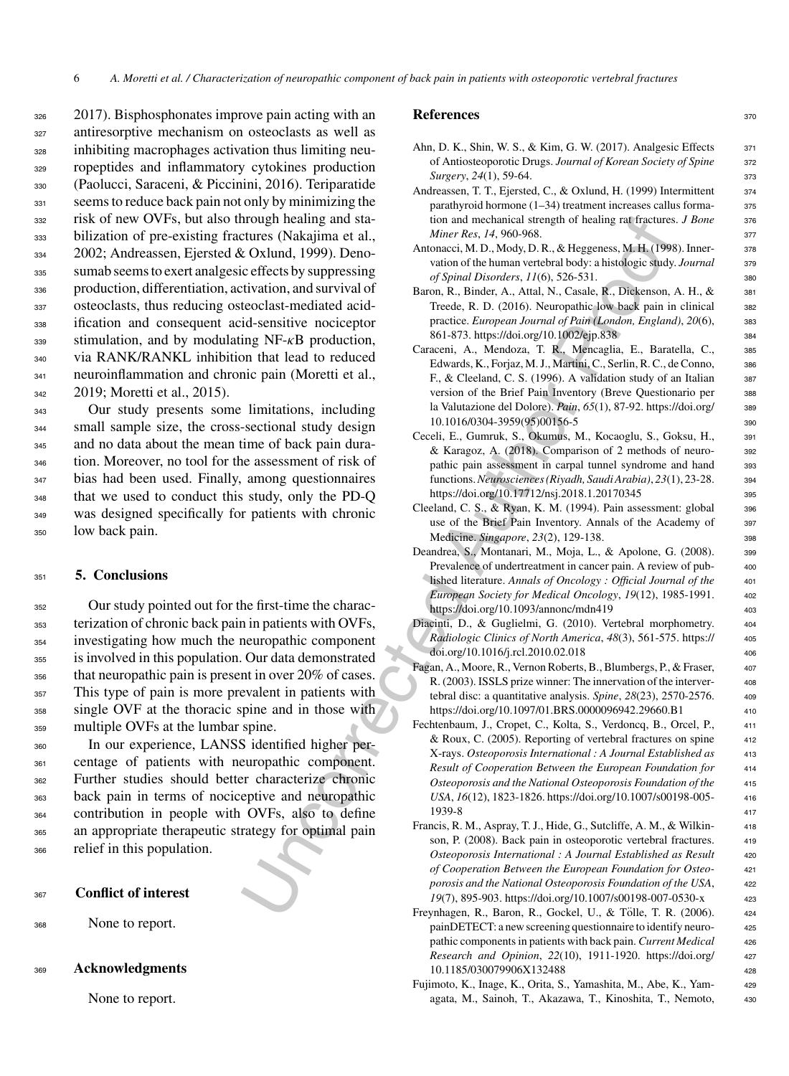2017). Bisphosphonates improve pain acting with an antiresorptive mechanism on osteoclasts as well as inhibiting macrophages activation thus limiting neu- ropeptides and inflammatory cytokines production (Paolucci, Saraceni, & Piccinini, 2016). Teriparatide 331 seems to reduce back pain not only by minimizing the risk of new OVFs, but also through healing and sta- bilization of pre-existing fractures (Nakajima et al., 2002; Andreassen, Ejersted & Oxlund, 1999). Deno- sumab seems to exert analgesic effects by suppressing production, differentiation, activation, and survival of osteoclasts, thus reducing osteoclast-mediated acid- ification and consequent acid-sensitive nociceptor stimulation, and by modulating NF- $\kappa$ B production, via RANK/RANKL inhibition that lead to reduced neuroinflammation and chronic pain (Moretti et al., 2019; Moretti et al., 2015).

 Our study presents some limitations, including small sample size, the cross-sectional study design and no data about the mean time of back pain dura- tion. Moreover, no tool for the assessment of risk of bias had been used. Finally, among questionnaires that we used to conduct this study, only the PD-Q was designed specifically for patients with chronic low back pain.

# <sup>351</sup> **5. Conclusions**

 Our study pointed out for the first-time the charac- terization of chronic back pain in patients with OVFs, investigating how much the neuropathic component is involved in this population. Our data demonstrated that neuropathic pain is present in over 20% of cases. This type of pain is more prevalent in patients with single OVF at the thoracic spine and in those with multiple OVFs at the lumbar spine.

 In our experience, LANSS identified higher per- centage of patients with neuropathic component. Further studies should better characterize chronic back pain in terms of nociceptive and neuropathic contribution in people with OVFs, also to define an appropriate therapeutic strategy for optimal pain relief in this population.

# <sup>367</sup> **Conflict of interest**

<sup>368</sup> None to report.

### <sup>369</sup> **Acknowledgments**

None to report.

### **References** 370

- Ahn, D. K., Shin, W. S., & Kim, G. W. (2017). Analgesic Effects 371 of Antiosteoporotic Drugs. *Journal of Korean Society of Spine* <sup>372</sup> *Surgery*, *24*(1), 59-64. <sup>373</sup>
- Andreassen, T. T., Ejersted, C., & Oxlund, H. (1999) Intermittent 374 parathyroid hormone  $(1-34)$  treatment increases callus forma- $375$ tion and mechanical strength of healing rat fractures. *J Bone* 376 *Miner Res*, *14*, 960-968. <sup>377</sup>
- Antonacci, M. D., Mody, D. R., & Heggeness, M. H. (1998). Inner- 378 vation of the human vertebral body: a histologic study. *Journal* <sup>379</sup> *of Spinal Disorders*, *11*(6), 526-531. <sup>380</sup>
- Baron, R., Binder, A., Attal, N., Casale, R., Dickenson, A. H., & 381 Treede, R. D. (2016). Neuropathic low back pain in clinical <sup>382</sup> practice. *European Journal of Pain (London, England)*, *20*(6), <sup>383</sup> 861-873. https://doi.org/10.1002/ejp.838
- Caraceni, A., Mendoza, T. R., Mencaglia, E., Baratella, C., <sup>385</sup> Edwards, K., Forjaz, M. J., Martini, C., Serlin, R. C., de Conno, 386 F., & Cleeland, C. S. (1996). A validation study of an Italian 387 version of the Brief Pain Inventory (Breve Questionario per 388 la Valutazione del Dolore). *Pain*, *65*(1), 87-92. [https://doi.org/](https://doi.org/10.1016/0304-3959(95)00156-5) <sup>389</sup> 10.1016/0304-3959(95)00156-5 390
- Ceceli, E., Gumruk, S., Okumus, M., Kocaoglu, S., Goksu, H., <sup>391</sup> & Karagoz, A. (2018). Comparison of 2 methods of neuro- <sup>392</sup> pathic pain assessment in carpal tunnel syndrome and hand 393 functions.*Neurosciences (Riyadh, Saudi Arabia)*, *23*(1), 23-28. <sup>394</sup> https://doi.org/10.17712/nsj.2018.1.20170345 395
- Cleeland, C. S., & Ryan, K. M. (1994). Pain assessment: global 396 use of the Brief Pain Inventory. Annals of the Academy of 397 Medicine. *Singapore*, *23*(2), 129-138. <sup>398</sup>
- Deandrea, S., Montanari, M., Moja, L., & Apolone, G. (2008). 399 Prevalence of undertreatment in cancer pain. A review of pub- 400 lished literature. Annals of Oncology : Official Journal of the 401 *European Society for Medical Oncology*, *19*(12), 1985-1991. <sup>402</sup> https://doi.org/10.1093/annonc/mdn419 403
- Diacinti, D., & Guglielmi, G. (2010). Vertebral morphometry. <sup>404</sup> *Radiologic Clinics of North America*, *48*(3), 561-575. [https://](https://doi.org/10.1016/j.rcl.2010.02.018) <sup>405</sup> doi.org/10.1016/j.rcl.2010.02.018 406
- Fagan, A., Moore, R., Vernon Roberts, B., Blumbergs, P., & Fraser, <sup>407</sup> R. (2003). ISSLS prize winner: The innervation of the interver- 408 tebral disc: a quantitative analysis. *Spine*, *28*(23), 2570-2576. <sup>409</sup> <https://doi.org/10.1097/01.BRS.0000096942.29660.B1> 410
- Irongy heading and States (Nakajiman et al., Monet A[ut](https://doi.org/10.17712/nsj.2018.1.20170345)horitics) (Nakajiman et al., Angles (Nakajiman et al., Angles (Nakajiman et al., Angles (Nakajiman et al., Angles (Nakajiman et al., Angles (Nakajiman et al., Distribu Fechtenbaum, J., Cropet, C., Kolta, S., Verdoncq, B., Orcel, P., <sup>411</sup> & Roux, C. (2005). Reporting of vertebral fractures on spine <sup>412</sup> X-rays. *Osteoporosis International:AJournal Established as* <sup>413</sup> *Result of Cooperation Between the European Foundation for* <sup>414</sup> *Osteoporosis and the National Osteoporosis Foundation of the* <sup>415</sup> *USA*, *16*(12), 1823-1826. [https://doi.org/10.1007/s00198-005-](https://doi.org/10.1007/s00198-005-1939-8) <sup>416</sup> 1939-8 <sup>417</sup>
	- Francis, R. M., Aspray, T. J., Hide, G., Sutcliffe, A. M., & Wilkin- <sup>418</sup> son, P. (2008). Back pain in osteoporotic vertebral fractures. 419 *Osteoporosis International:AJournal Established as Result* <sup>420</sup> *of Cooperation Between the European Foundation for Osteo-* <sup>421</sup> *porosis and the National Osteoporosis Foundation of the USA*, <sup>422</sup> *19*(7), 895-903.<https://doi.org/10.1007/s00198-007-0530-x> <sup>423</sup>
	- Freynhagen, R., Baron, R., Gockel, U., & Tölle, T. R. (2006). 424 painDETECT: a new screening questionnaire to identify neuro-<br>425 pathic components in patients with back pain. *Current Medical* <sup>426</sup> *Research and Opinion*, *22*(10), 1911-1920. [https://doi.org/](https://doi.org/10.1185/030079906X132488) <sup>427</sup> 10.1185/030079906X132488 <sup>428</sup>
	- Fujimoto, K., Inage, K., Orita, S., Yamashita, M., Abe, K., Yam- <sup>429</sup> agata, M., Sainoh, T., Akazawa, T., Kinoshita, T., Nemoto, <sup>430</sup>